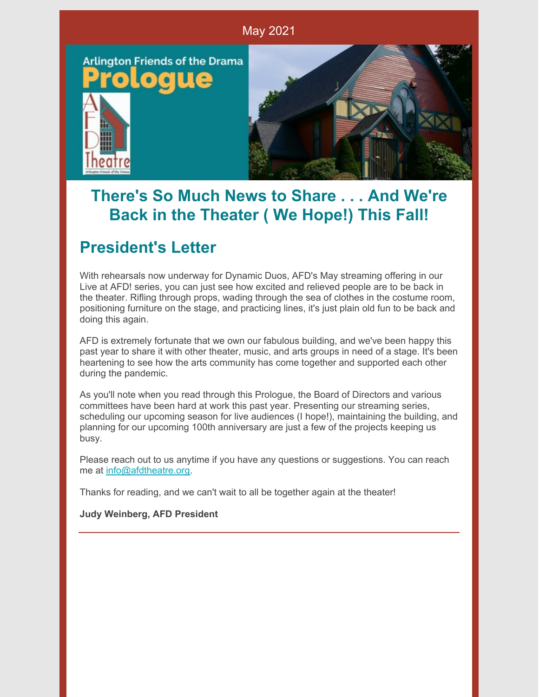

# **There's So Much News to Share . . . And We're Back in the Theater ( We Hope!) This Fall!**

# **President's Letter**

With rehearsals now underway for Dynamic Duos, AFD's May streaming offering in our Live at AFD! series, you can just see how excited and relieved people are to be back in the theater. Rifling through props, wading through the sea of clothes in the costume room, positioning furniture on the stage, and practicing lines, it's just plain old fun to be back and doing this again.

AFD is extremely fortunate that we own our fabulous building, and we've been happy this past year to share it with other theater, music, and arts groups in need of a stage. It's been heartening to see how the arts community has come together and supported each other during the pandemic.

As you'll note when you read through this Prologue, the Board of Directors and various committees have been hard at work this past year. Presenting our streaming series, scheduling our upcoming season for live audiences (I hope!), maintaining the building, and planning for our upcoming 100th anniversary are just a few of the projects keeping us busy.

Please reach out to us anytime if you have any questions or suggestions. You can reach me at [info@afdtheatre.org](mailto:info@afdtheatre.org).

Thanks for reading, and we can't wait to all be together again at the theater!

**Judy Weinberg, AFD President**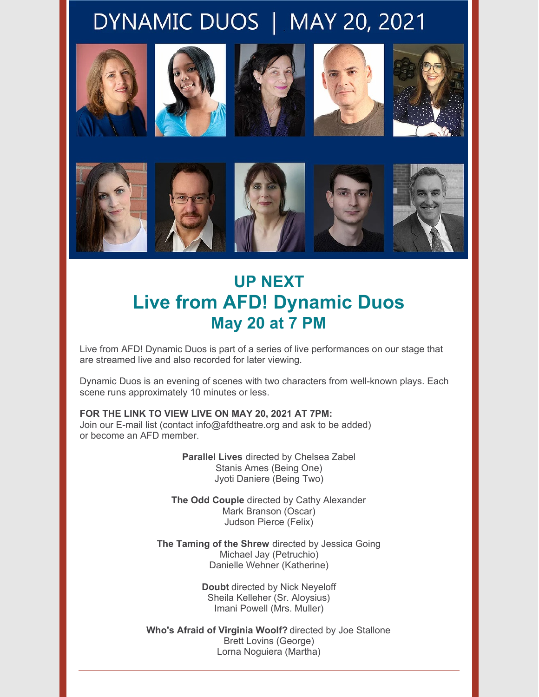# DYNAMIC DUOS | MAY 20, 2021













# **UP NEXT Live from AFD! Dynamic Duos May 20 at 7 PM**

Live from AFD! Dynamic Duos is part of a series of live performances on our stage that are streamed live and also recorded for later viewing.

Dynamic Duos is an evening of scenes with two characters from well-known plays. Each scene runs approximately 10 minutes or less.

#### **FOR THE LINK TO VIEW LIVE ON MAY 20, 2021 AT 7PM:**

Join our E-mail list (contact info@afdtheatre.org and ask to be added) or become an AFD member.

> **Parallel Lives** directed by Chelsea Zabel Stanis Ames (Being One) Jyoti Daniere (Being Two)

**The Odd Couple** directed by Cathy Alexander Mark Branson (Oscar) Judson Pierce (Felix)

**The Taming of the Shrew** directed by Jessica Going Michael Jay (Petruchio) Danielle Wehner (Katherine)

> **Doubt** directed by Nick Neyeloff Sheila Kelleher (Sr. Aloysius) Imani Powell (Mrs. Muller)

**Who's Afraid of Virginia Woolf?** directed by Joe Stallone Brett Lovins (George) Lorna Noguiera (Martha)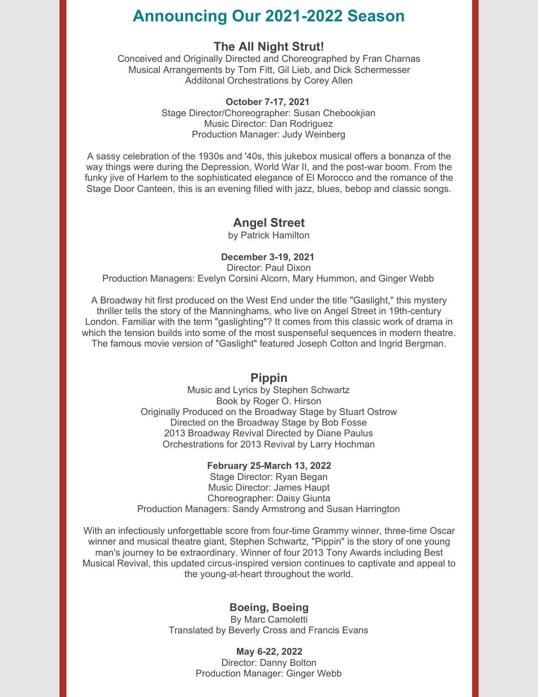### **Announcing Our 2021-2022 Season**

#### **The All Night Strut!**

Conceived and Originally Directed and Choreographed by Fran Charnas Musical Arrangements by Tom Fitt, Gil Lieb, and Dick Schermesser Additonal Orchestrations by Corey Allen

#### **October 7-17, 2021**

Stage Director/Choreographer: Susan Chebookjian Music Director: Dan Rodriguez Production Manager: Judy Weinberg

A sassy celebration of the 1930s and '40s, this jukebox musical offers a bonanza of the way things were during the Depression, World War II, and the post-war boom. From the funky jive of Harlem to the sophisticated elegance of El Morocco and the romance of the Stage Door Canteen, this is an evening filled with jazz, blues, bebop and classic songs.

#### **Angel Street**

by Patrick Hamilton

#### **December 3-19, 2021**

Director: Paul Dixon Production Managers: Evelyn Corsini Alcorn, Mary Hummon, and Ginger Webb

A Broadway hit first produced on the West End under the title "Gaslight," this mystery thriller tells the story of the Manninghams, who live on Angel Street in 19th-century London. Familiar with the term "gaslighting"? It comes from this classic work of drama in which the tension builds into some of the most suspenseful sequences in modern theatre. The famous movie version of "Gaslight" featured Joseph Cotton and Ingrid Bergman.

#### **Pippin**

Music and Lyrics by Stephen Schwartz Book by Roger O. Hirson Originally Produced on the Broadway Stage by Stuart Ostrow Directed on the Broadway Stage by Bob Fosse 2013 Broadway Revival Directed by Diane Paulus Orchestrations for 2013 Revival by Larry Hochman

#### **February 25-March 13, 2022**

Stage Director: Ryan Began Music Director: James Haupt Choreographer: Daisy Giunta Production Managers: Sandy Armstrong and Susan Harrington

With an infectiously unforgettable score from four-time Grammy winner, three-time Oscar winner and musical theatre giant, Stephen Schwartz, "Pippin" is the story of one young man's journey to be extraordinary. Winner of four 2013 Tony Awards including Best Musical Revival, this updated circus-inspired version continues to captivate and appeal to the young-at-heart throughout the world.

#### **Boeing, Boeing**

By Marc Camoletti Translated by Beverly Cross and Francis Evans

#### **May 6-22, 2022**

Director: Danny Bolton Production Manager: Ginger Webb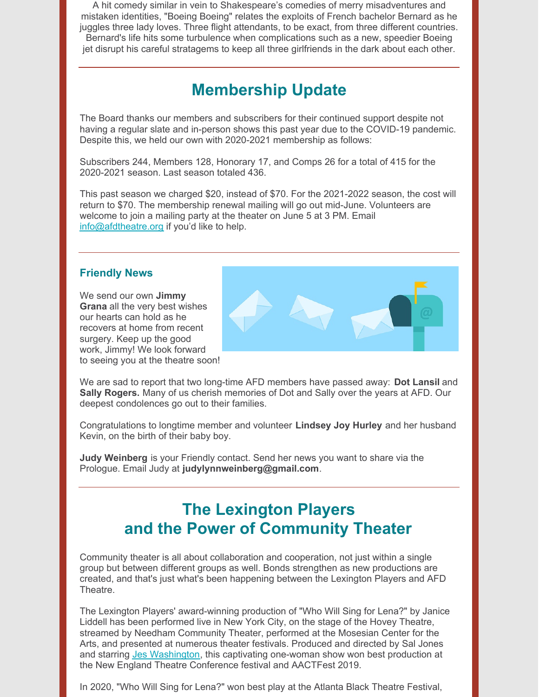A hit comedy similar in vein to Shakespeare's comedies of merry misadventures and mistaken identities, "Boeing Boeing" relates the exploits of French bachelor Bernard as he juggles three lady loves. Three flight attendants, to be exact, from three different countries. Bernard's life hits some turbulence when complications such as a new, speedier Boeing jet disrupt his careful stratagems to keep all three girlfriends in the dark about each other.

### **Membership Update**

The Board thanks our members and subscribers for their continued support despite not having a regular slate and in-person shows this past year due to the COVID-19 pandemic. Despite this, we held our own with 2020-2021 membership as follows:

Subscribers 244, Members 128, Honorary 17, and Comps 26 for a total of 415 for the 2020-2021 season. Last season totaled 436.

This past season we charged \$20, instead of \$70. For the 2021-2022 season, the cost will return to \$70. The membership renewal mailing will go out mid-June. Volunteers are welcome to join a mailing party at the theater on June 5 at 3 PM. Email [info@afdtheatre.org](mailto:info@afdtheatre.org) if you'd like to help.

#### **Friendly News**

We send our own **Jimmy Grana** all the very best wishes our hearts can hold as he recovers at home from recent surgery. Keep up the good work, Jimmy! We look forward to seeing you at the theatre soon!



We are sad to report that two long-time AFD members have passed away: **Dot Lansil** and **Sally Rogers.** Many of us cherish memories of Dot and Sally over the years at AFD. Our deepest condolences go out to their families.

Congratulations to longtime member and volunteer **Lindsey Joy Hurley** and her husband Kevin, on the birth of their baby boy.

**Judy Weinberg** is your Friendly contact. Send her news you want to share via the Prologue. Email Judy at **judylynnweinberg@gmail.com**.

### **The Lexington Players and the Power of Community Theater**

Community theater is all about collaboration and cooperation, not just within a single group but between different groups as well. Bonds strengthen as new productions are created, and that's just what's been happening between the Lexington Players and AFD Theatre.

The Lexington Players' award-winning production of "Who Will Sing for Lena?" by Janice Liddell has been performed live in New York City, on the stage of the Hovey Theatre, streamed by Needham Community Theater, performed at the Mosesian Center for the Arts, and presented at numerous theater festivals. Produced and directed by Sal Jones and starring Jes [Washington](https://jeswashington.com/), this captivating one-woman show won best production at the New England Theatre Conference festival and AACTFest 2019.

In 2020, "Who Will Sing for Lena?" won best play at the Atlanta Black Theatre Festival,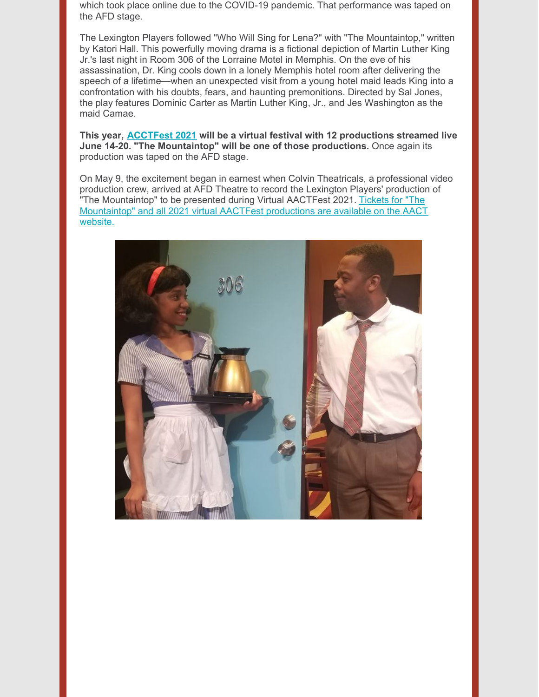which took place online due to the COVID-19 pandemic. That performance was taped on the AFD stage.

The Lexington Players followed "Who Will Sing for Lena?" with "The Mountaintop," written by Katori Hall. This powerfully moving drama is a fictional depiction of Martin Luther King Jr.'s last night in Room 306 of the Lorraine Motel in Memphis. On the eve of his assassination, Dr. King cools down in a lonely Memphis hotel room after delivering the speech of a lifetime—when an unexpected visit from a young hotel maid leads King into a confrontation with his doubts, fears, and haunting premonitions. Directed by Sal Jones, the play features Dominic Carter as Martin Luther King, Jr., and Jes Washington as the maid Camae.

**This year, [ACCTFest](https://aact.org/aactfest-2021) 2021 will be a virtual festival with 12 productions streamed live June 14-20. "The Mountaintop" will be one of those productions.** Once again its production was taped on the AFD stage.

On May 9, the excitement began in earnest when Colvin Theatricals, a professional video production crew, arrived at AFD Theatre to record the Lexington Players' production of "The [Mountaintop"](https://aact.org/aactfest-2021) to be presented during Virtual AACTFest 2021. Tickets for "The Mountaintop" and all 2021 virtual AACTFest productions are available on the AACT website.

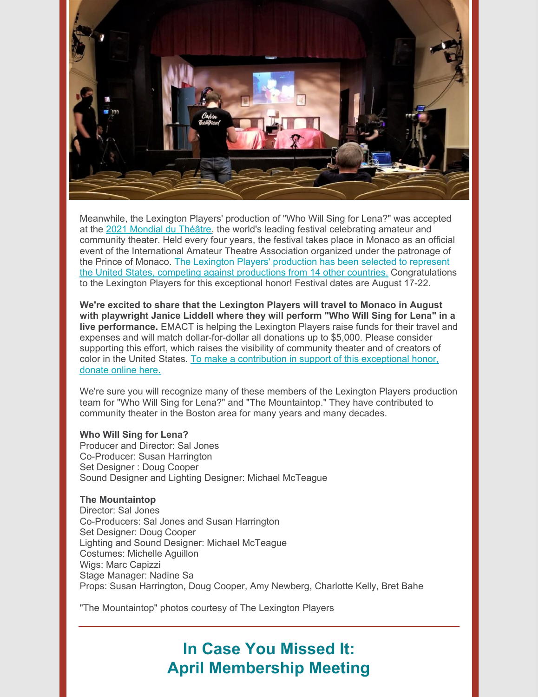

Meanwhile, the Lexington Players' production of "Who Will Sing for Lena?" was accepted at the 2021 [Mondial](http://www.mondialdutheatre.mc/mdt2021/fr/index.html) du Théâtre, the world's leading festival celebrating amateur and community theater. Held every four years, the festival takes place in Monaco as an official event of the International Amateur Theatre Association organized under the patronage of the Prince of Monaco. The Lexington Players' production has been selected to represent the United States, competing against productions from 14 other countries. [Congratulation](http://www.aitaiata.net/groups_mondial2021.html)s to the Lexington Players for this exceptional honor! Festival dates are August 17-22.

**We're excited to share that the Lexington Players will travel to Monaco in August with playwright Janice Liddell where they will perform "Who Will Sing for Lena" in a live performance.** EMACT is helping the Lexington Players raise funds for their travel and expenses and will match dollar-for-dollar all donations up to \$5,000. Please consider supporting this effort, which raises the visibility of community theater and of creators of color in the United States. To make a [contribution](https://form.jotform.com/210585076454155) in support of this exceptional honor, donate online here.

We're sure you will recognize many of these members of the Lexington Players production team for "Who Will Sing for Lena?" and "The Mountaintop." They have contributed to community theater in the Boston area for many years and many decades.

#### **Who Will Sing for Lena?**

Producer and Director: Sal Jones Co-Producer: Susan Harrington Set Designer : Doug Cooper Sound Designer and Lighting Designer: Michael McTeague

#### **The Mountaintop**

Director: Sal Jones Co-Producers: Sal Jones and Susan Harrington Set Designer: Doug Cooper Lighting and Sound Designer: Michael McTeague Costumes: Michelle Aguillon Wigs: Marc Capizzi Stage Manager: Nadine Sa Props: Susan Harrington, Doug Cooper, Amy Newberg, Charlotte Kelly, Bret Bahe

"The Mountaintop" photos courtesy of The Lexington Players

### **In Case You Missed It: April Membership Meeting**